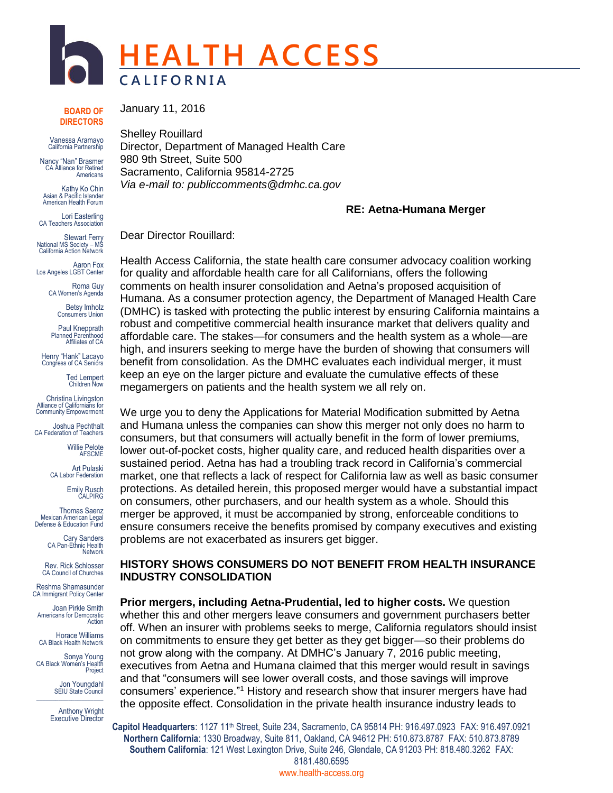

**BOARD OF DIRECTORS**

Vanessa Aramayo California Partnership

Nancy "Nan" Brasmer CA Alliance for Retired **Americans** 

Kathy Ko Chin Asian & Pacific Islander American Health Forum

Lori Easterling CA Teachers Association

Stewart Ferry National MS Society – MS California Action Network

Aaron Fox Los Angeles LGBT Center

> Roma Guy CA Women's Agenda

> > Betsy Imholz Consumers Union

Paul Knepprath Planned Parenthood Affiliates of CA

Henry "Hank" Lacayo Congress of CA Seniors

> Ted Lempert Children Now

Christina Livingston Alliance of Californians for Community Empowerment

Joshua Pechthalt CA Federation of Teachers

> Willie Pelote **AFSCME**

Art Pulaski CA Labor Federation

Emily Rusch CALPIRG

Thomas Saenz Mexican American Legal Defense & Education Fund

> Cary Sanders CA Pan-Ethnic Health **Network**

Rev. Rick Schlosser CA Council of Churches

Reshma Shamasunder CA Immigrant Policy Center

Joan Pirkle Smith Americans for Democratic Action

Horace Williams CA Black Health Network

Sonya Young CA Black Women's Health Project

Jon Youngdahl SEIU State Council  $\_$ 

Anthony Wright Executive Director

January 11, 2016

Shelley Rouillard Director, Department of Managed Health Care 980 9th Street, Suite 500 Sacramento, California 95814-2725 *Via e-mail to: publiccomments@dmhc.ca.gov*

# **RE: Aetna-Humana Merger**

Dear Director Rouillard:

Health Access California, the state health care consumer advocacy coalition working for quality and affordable health care for all Californians, offers the following comments on health insurer consolidation and Aetna's proposed acquisition of Humana. As a consumer protection agency, the Department of Managed Health Care (DMHC) is tasked with protecting the public interest by ensuring California maintains a robust and competitive commercial health insurance market that delivers quality and affordable care. The stakes—for consumers and the health system as a whole—are high, and insurers seeking to merge have the burden of showing that consumers will benefit from consolidation. As the DMHC evaluates each individual merger, it must keep an eye on the larger picture and evaluate the cumulative effects of these megamergers on patients and the health system we all rely on.

We urge you to deny the Applications for Material Modification submitted by Aetna and Humana unless the companies can show this merger not only does no harm to consumers, but that consumers will actually benefit in the form of lower premiums, lower out-of-pocket costs, higher quality care, and reduced health disparities over a sustained period. Aetna has had a troubling track record in California's commercial market, one that reflects a lack of respect for California law as well as basic consumer protections. As detailed herein, this proposed merger would have a substantial impact on consumers, other purchasers, and our health system as a whole. Should this merger be approved, it must be accompanied by strong, enforceable conditions to ensure consumers receive the benefits promised by company executives and existing problems are not exacerbated as insurers get bigger.

# **HISTORY SHOWS CONSUMERS DO NOT BENEFIT FROM HEALTH INSURANCE INDUSTRY CONSOLIDATION**

**Prior mergers, including Aetna-Prudential, led to higher costs.** We question whether this and other mergers leave consumers and government purchasers better off. When an insurer with problems seeks to merge, California regulators should insist on commitments to ensure they get better as they get bigger—so their problems do not grow along with the company. At DMHC's January 7, 2016 public meeting, executives from Aetna and Humana claimed that this merger would result in savings and that "consumers will see lower overall costs, and those savings will improve consumers' experience."<sup>1</sup> History and research show that insurer mergers have had the opposite effect. Consolidation in the private health insurance industry leads to

Capitol Headquarters: 1127 11<sup>th</sup> Street, Suite 234, Sacramento, CA 95814 PH: 916.497.0923 FAX: 916.497.0921 **Northern California**: 1330 Broadway, Suite 811, Oakland, CA 94612 PH: 510.873.8787 FAX: 510.873.8789 **Southern California**: 121 West Lexington Drive, Suite 246, Glendale, CA 91203 PH: 818.480.3262 FAX: 8181.480.6595 www.health-access.org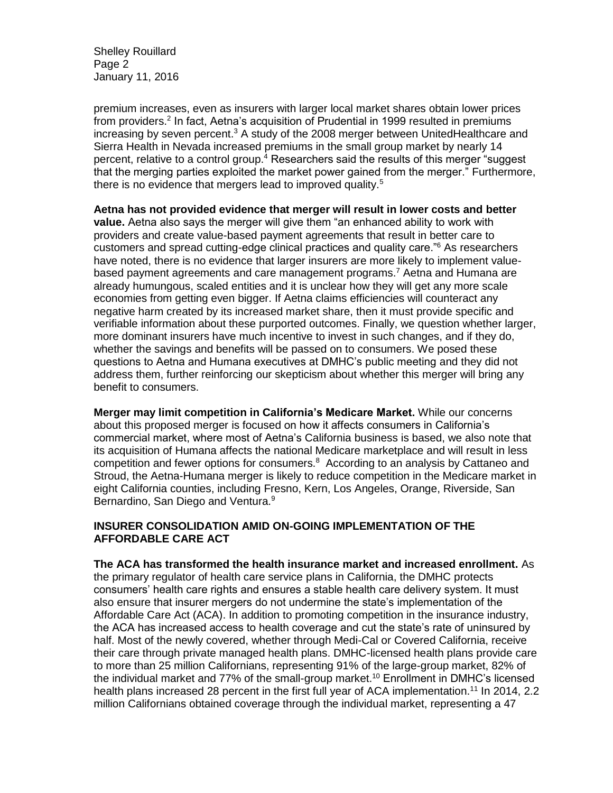Shelley Rouillard Page 2 January 11, 2016

premium increases, even as insurers with larger local market shares obtain lower prices from providers.<sup>2</sup> In fact, Aetna's acquisition of Prudential in 1999 resulted in premiums increasing by seven percent.<sup>3</sup> A study of the 2008 merger between UnitedHealthcare and Sierra Health in Nevada increased premiums in the small group market by nearly 14 percent, relative to a control group.<sup>4</sup> Researchers said the results of this merger "suggest that the merging parties exploited the market power gained from the merger." Furthermore, there is no evidence that mergers lead to improved quality.<sup>5</sup>

**Aetna has not provided evidence that merger will result in lower costs and better value.** Aetna also says the merger will give them "an enhanced ability to work with providers and create value-based payment agreements that result in better care to customers and spread cutting-edge clinical practices and quality care."<sup>6</sup> As researchers have noted, there is no evidence that larger insurers are more likely to implement valuebased payment agreements and care management programs.<sup>7</sup> Aetna and Humana are already humungous, scaled entities and it is unclear how they will get any more scale economies from getting even bigger. If Aetna claims efficiencies will counteract any negative harm created by its increased market share, then it must provide specific and verifiable information about these purported outcomes. Finally, we question whether larger, more dominant insurers have much incentive to invest in such changes, and if they do, whether the savings and benefits will be passed on to consumers. We posed these questions to Aetna and Humana executives at DMHC's public meeting and they did not address them, further reinforcing our skepticism about whether this merger will bring any benefit to consumers.

**Merger may limit competition in California's Medicare Market.** While our concerns about this proposed merger is focused on how it affects consumers in California's commercial market, where most of Aetna's California business is based, we also note that its acquisition of Humana affects the national Medicare marketplace and will result in less competition and fewer options for consumers.<sup>8</sup> According to an analysis by Cattaneo and Stroud, the Aetna-Humana merger is likely to reduce competition in the Medicare market in eight California counties, including Fresno, Kern, Los Angeles, Orange, Riverside, San Bernardino, San Diego and Ventura.<sup>9</sup>

# **INSURER CONSOLIDATION AMID ON-GOING IMPLEMENTATION OF THE AFFORDABLE CARE ACT**

**The ACA has transformed the health insurance market and increased enrollment.** As the primary regulator of health care service plans in California, the DMHC protects consumers' health care rights and ensures a stable health care delivery system. It must also ensure that insurer mergers do not undermine the state's implementation of the Affordable Care Act (ACA). In addition to promoting competition in the insurance industry, the ACA has increased access to health coverage and cut the state's rate of uninsured by half. Most of the newly covered, whether through Medi-Cal or Covered California, receive their care through private managed health plans. DMHC-licensed health plans provide care to more than 25 million Californians, representing 91% of the large-group market, 82% of the individual market and 77% of the small-group market.<sup>10</sup> Enrollment in DMHC's licensed health plans increased 28 percent in the first full year of ACA implementation.<sup>11</sup> In 2014, 2.2 million Californians obtained coverage through the individual market, representing a 47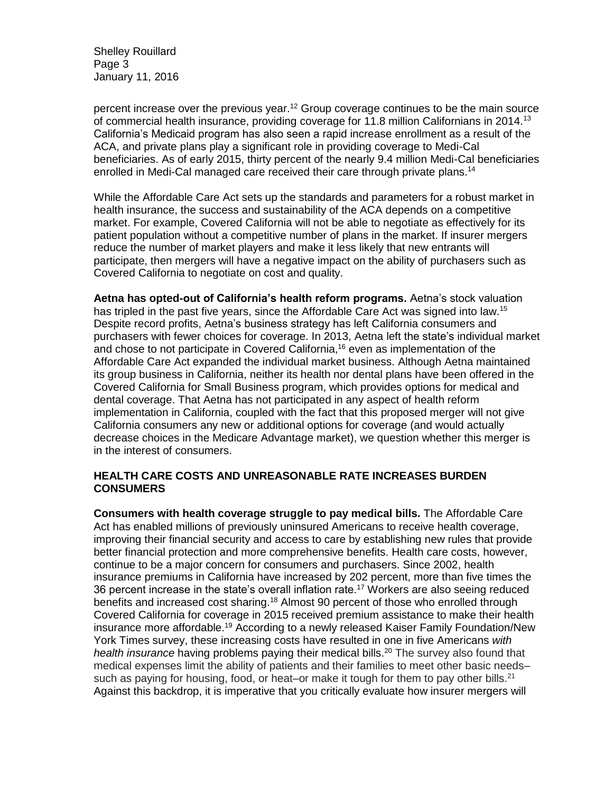Shelley Rouillard Page 3 January 11, 2016

percent increase over the previous year.<sup>12</sup> Group coverage continues to be the main source of commercial health insurance, providing coverage for 11.8 million Californians in 2014.<sup>13</sup> California's Medicaid program has also seen a rapid increase enrollment as a result of the ACA, and private plans play a significant role in providing coverage to Medi-Cal beneficiaries. As of early 2015, thirty percent of the nearly 9.4 million Medi-Cal beneficiaries enrolled in Medi-Cal managed care received their care through private plans.<sup>14</sup>

While the Affordable Care Act sets up the standards and parameters for a robust market in health insurance, the success and sustainability of the ACA depends on a competitive market. For example, Covered California will not be able to negotiate as effectively for its patient population without a competitive number of plans in the market. If insurer mergers reduce the number of market players and make it less likely that new entrants will participate, then mergers will have a negative impact on the ability of purchasers such as Covered California to negotiate on cost and quality.

**Aetna has opted-out of California's health reform programs.** Aetna's stock valuation has tripled in the past five years, since the Affordable Care Act was signed into law.<sup>15</sup> Despite record profits, Aetna's business strategy has left California consumers and purchasers with fewer choices for coverage. In 2013, Aetna left the state's individual market and chose to not participate in Covered California, <sup>16</sup> even as implementation of the Affordable Care Act expanded the individual market business. Although Aetna maintained its group business in California, neither its health nor dental plans have been offered in the Covered California for Small Business program, which provides options for medical and dental coverage. That Aetna has not participated in any aspect of health reform implementation in California, coupled with the fact that this proposed merger will not give California consumers any new or additional options for coverage (and would actually decrease choices in the Medicare Advantage market), we question whether this merger is in the interest of consumers.

### **HEALTH CARE COSTS AND UNREASONABLE RATE INCREASES BURDEN CONSUMERS**

**Consumers with health coverage struggle to pay medical bills.** The Affordable Care Act has enabled millions of previously uninsured Americans to receive health coverage, improving their financial security and access to care by establishing new rules that provide better financial protection and more comprehensive benefits. Health care costs, however, continue to be a major concern for consumers and purchasers. Since 2002, health insurance premiums in California have increased by 202 percent, more than five times the 36 percent increase in the state's overall inflation rate.<sup>17</sup> Workers are also seeing reduced benefits and increased cost sharing.<sup>18</sup> Almost 90 percent of those who enrolled through Covered California for coverage in 2015 received premium assistance to make their health insurance more affordable.<sup>19</sup> According to a newly released Kaiser Family Foundation/New York Times survey, these increasing costs have resulted in one in five Americans *with health insurance* having problems paying their medical bills.<sup>20</sup> The survey also found that medical expenses limit the ability of patients and their families to meet other basic needs– such as paying for housing, food, or heat–or make it tough for them to pay other bills.<sup>21</sup> Against this backdrop, it is imperative that you critically evaluate how insurer mergers will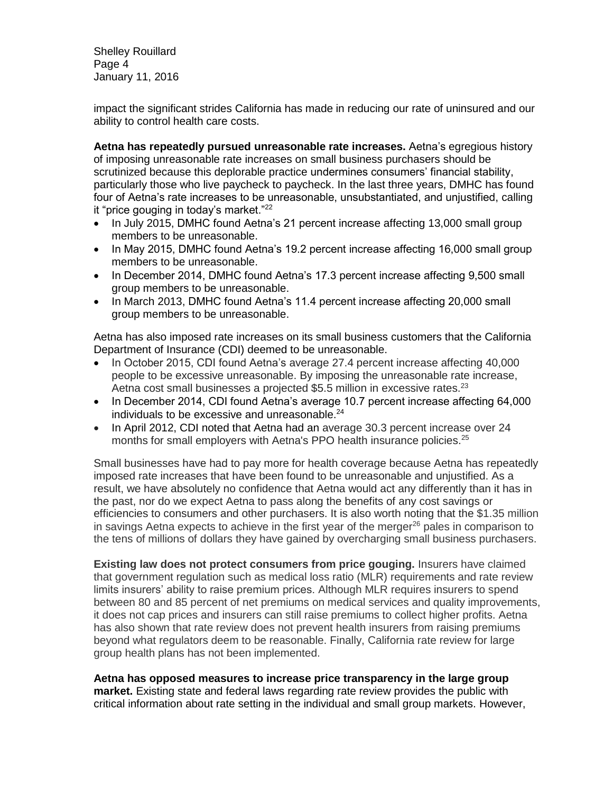Shelley Rouillard Page 4 January 11, 2016

impact the significant strides California has made in reducing our rate of uninsured and our ability to control health care costs.

**Aetna has repeatedly pursued unreasonable rate increases.** Aetna's egregious history of imposing unreasonable rate increases on small business purchasers should be scrutinized because this deplorable practice undermines consumers' financial stability, particularly those who live paycheck to paycheck. In the last three years, DMHC has found four of Aetna's rate increases to be unreasonable, unsubstantiated, and unjustified, calling it "price gouging in today's market."<sup>22</sup>

- In July 2015, DMHC found Aetna's 21 percent increase affecting 13,000 small group members to be unreasonable.
- In May 2015, DMHC found Aetna's 19.2 percent increase affecting 16,000 small group members to be unreasonable.
- In December 2014, DMHC found Aetna's 17.3 percent increase affecting 9,500 small group members to be unreasonable.
- In March 2013, DMHC found Aetna's 11.4 percent increase affecting 20,000 small group members to be unreasonable.

Aetna has also imposed rate increases on its small business customers that the California Department of Insurance (CDI) deemed to be unreasonable.

- In October 2015, CDI found Aetna's average 27.4 percent increase affecting 40,000 people to be excessive unreasonable. By imposing the unreasonable rate increase, Aetna cost small businesses a projected \$5.5 million in excessive rates.<sup>23</sup>
- In December 2014, CDI found Aetna's average 10.7 percent increase affecting 64,000 individuals to be excessive and unreasonable. $24$
- In April 2012, CDI noted that Aetna had an average 30.3 percent increase over 24 months for small employers with Aetna's PPO health insurance policies.<sup>25</sup>

Small businesses have had to pay more for health coverage because Aetna has repeatedly imposed rate increases that have been found to be unreasonable and unjustified. As a result, we have absolutely no confidence that Aetna would act any differently than it has in the past, nor do we expect Aetna to pass along the benefits of any cost savings or efficiencies to consumers and other purchasers. It is also worth noting that the \$1.35 million in savings Aetna expects to achieve in the first year of the merger $^{26}$  pales in comparison to the tens of millions of dollars they have gained by overcharging small business purchasers.

**Existing law does not protect consumers from price gouging.** Insurers have claimed that government regulation such as medical loss ratio (MLR) requirements and rate review limits insurers' ability to raise premium prices. Although MLR requires insurers to spend between 80 and 85 percent of net premiums on medical services and quality improvements, it does not cap prices and insurers can still raise premiums to collect higher profits. Aetna has also shown that rate review does not prevent health insurers from raising premiums beyond what regulators deem to be reasonable. Finally, California rate review for large group health plans has not been implemented.

#### **Aetna has opposed measures to increase price transparency in the large group market.** Existing state and federal laws regarding rate review provides the public with critical information about rate setting in the individual and small group markets. However,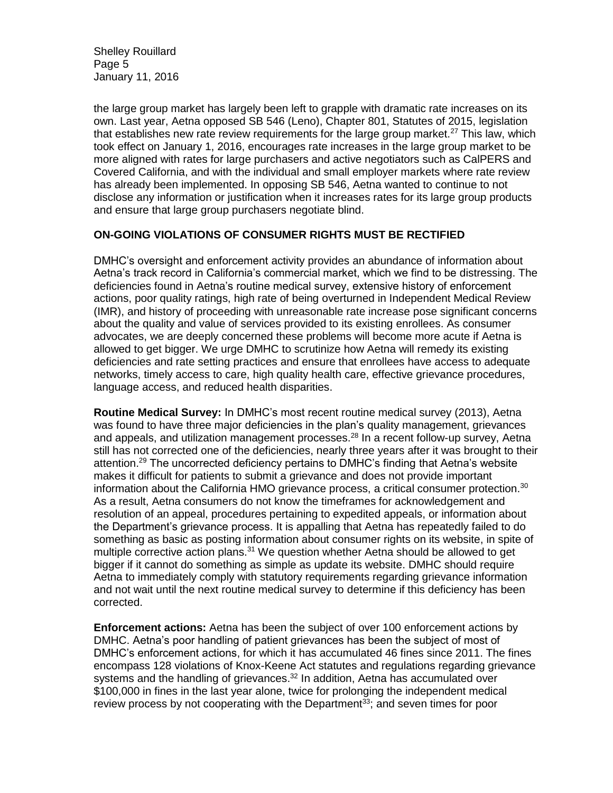Shelley Rouillard Page 5 January 11, 2016

the large group market has largely been left to grapple with dramatic rate increases on its own. Last year, Aetna opposed SB 546 (Leno), Chapter 801, Statutes of 2015, legislation that establishes new rate review requirements for the large group market.<sup>27</sup> This law, which took effect on January 1, 2016, encourages rate increases in the large group market to be more aligned with rates for large purchasers and active negotiators such as CalPERS and Covered California, and with the individual and small employer markets where rate review has already been implemented. In opposing SB 546, Aetna wanted to continue to not disclose any information or justification when it increases rates for its large group products and ensure that large group purchasers negotiate blind.

# **ON-GOING VIOLATIONS OF CONSUMER RIGHTS MUST BE RECTIFIED**

DMHC's oversight and enforcement activity provides an abundance of information about Aetna's track record in California's commercial market, which we find to be distressing. The deficiencies found in Aetna's routine medical survey, extensive history of enforcement actions, poor quality ratings, high rate of being overturned in Independent Medical Review (IMR), and history of proceeding with unreasonable rate increase pose significant concerns about the quality and value of services provided to its existing enrollees. As consumer advocates, we are deeply concerned these problems will become more acute if Aetna is allowed to get bigger. We urge DMHC to scrutinize how Aetna will remedy its existing deficiencies and rate setting practices and ensure that enrollees have access to adequate networks, timely access to care, high quality health care, effective grievance procedures, language access, and reduced health disparities.

**Routine Medical Survey:** In DMHC's most recent routine medical survey (2013), Aetna was found to have three major deficiencies in the plan's quality management, grievances and appeals, and utilization management processes.<sup>28</sup> In a recent follow-up survey, Aetna still has not corrected one of the deficiencies, nearly three years after it was brought to their attention.<sup>29</sup> The uncorrected deficiency pertains to DMHC's finding that Aetna's website makes it difficult for patients to submit a grievance and does not provide important information about the California HMO grievance process, a critical consumer protection.<sup>30</sup> As a result, Aetna consumers do not know the timeframes for acknowledgement and resolution of an appeal, procedures pertaining to expedited appeals, or information about the Department's grievance process. It is appalling that Aetna has repeatedly failed to do something as basic as posting information about consumer rights on its website, in spite of multiple corrective action plans.<sup>31</sup> We question whether Aetna should be allowed to get bigger if it cannot do something as simple as update its website. DMHC should require Aetna to immediately comply with statutory requirements regarding grievance information and not wait until the next routine medical survey to determine if this deficiency has been corrected.

**Enforcement actions:** Aetna has been the subject of over 100 enforcement actions by DMHC. Aetna's poor handling of patient grievances has been the subject of most of DMHC's enforcement actions, for which it has accumulated 46 fines since 2011. The fines encompass 128 violations of Knox-Keene Act statutes and regulations regarding grievance systems and the handling of grievances.<sup>32</sup> In addition, Aetna has accumulated over \$100,000 in fines in the last year alone, twice for prolonging the independent medical review process by not cooperating with the Department<sup>33</sup>; and seven times for poor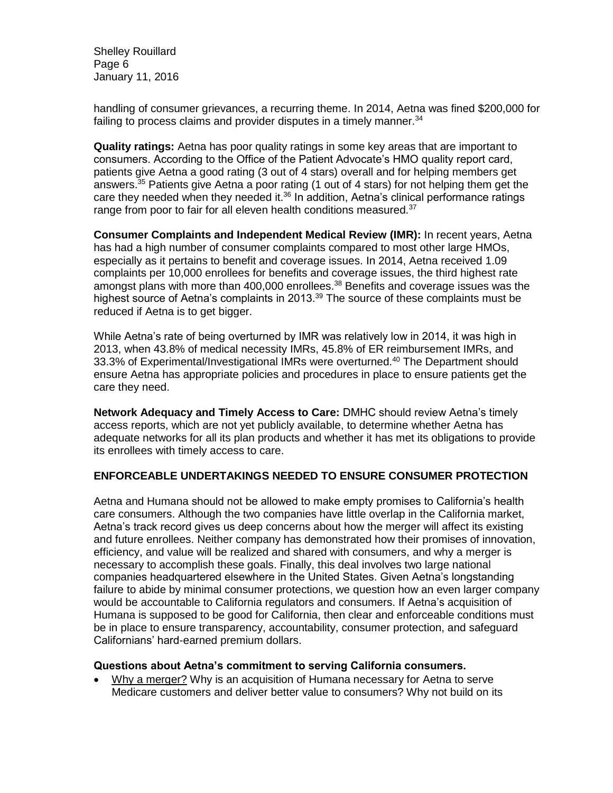Shelley Rouillard Page 6 January 11, 2016

handling of consumer grievances, a recurring theme. In 2014, Aetna was fined \$200,000 for failing to process claims and provider disputes in a timely manner.<sup>34</sup>

**Quality ratings:** Aetna has poor quality ratings in some key areas that are important to consumers. According to the Office of the Patient Advocate's HMO quality report card, patients give Aetna a good rating (3 out of 4 stars) overall and for helping members get answers.<sup>35</sup> Patients give Aetna a poor rating (1 out of 4 stars) for not helping them get the care they needed when they needed it. $36$  In addition, Aetna's clinical performance ratings range from poor to fair for all eleven health conditions measured.<sup>37</sup>

**Consumer Complaints and Independent Medical Review (IMR):** In recent years, Aetna has had a high number of consumer complaints compared to most other large HMOs, especially as it pertains to benefit and coverage issues. In 2014, Aetna received 1.09 complaints per 10,000 enrollees for benefits and coverage issues, the third highest rate amongst plans with more than 400,000 enrollees.<sup>38</sup> Benefits and coverage issues was the highest source of Aetna's complaints in 2013.<sup>39</sup> The source of these complaints must be reduced if Aetna is to get bigger.

While Aetna's rate of being overturned by IMR was relatively low in 2014, it was high in 2013, when 43.8% of medical necessity IMRs, 45.8% of ER reimbursement IMRs, and 33.3% of Experimental/Investigational IMRs were overturned.<sup>40</sup> The Department should ensure Aetna has appropriate policies and procedures in place to ensure patients get the care they need.

**Network Adequacy and Timely Access to Care:** DMHC should review Aetna's timely access reports, which are not yet publicly available, to determine whether Aetna has adequate networks for all its plan products and whether it has met its obligations to provide its enrollees with timely access to care.

# **ENFORCEABLE UNDERTAKINGS NEEDED TO ENSURE CONSUMER PROTECTION**

Aetna and Humana should not be allowed to make empty promises to California's health care consumers. Although the two companies have little overlap in the California market, Aetna's track record gives us deep concerns about how the merger will affect its existing and future enrollees. Neither company has demonstrated how their promises of innovation, efficiency, and value will be realized and shared with consumers, and why a merger is necessary to accomplish these goals. Finally, this deal involves two large national companies headquartered elsewhere in the United States. Given Aetna's longstanding failure to abide by minimal consumer protections, we question how an even larger company would be accountable to California regulators and consumers. If Aetna's acquisition of Humana is supposed to be good for California, then clear and enforceable conditions must be in place to ensure transparency, accountability, consumer protection, and safeguard Californians' hard-earned premium dollars.

### **Questions about Aetna's commitment to serving California consumers.**

 Why a merger? Why is an acquisition of Humana necessary for Aetna to serve Medicare customers and deliver better value to consumers? Why not build on its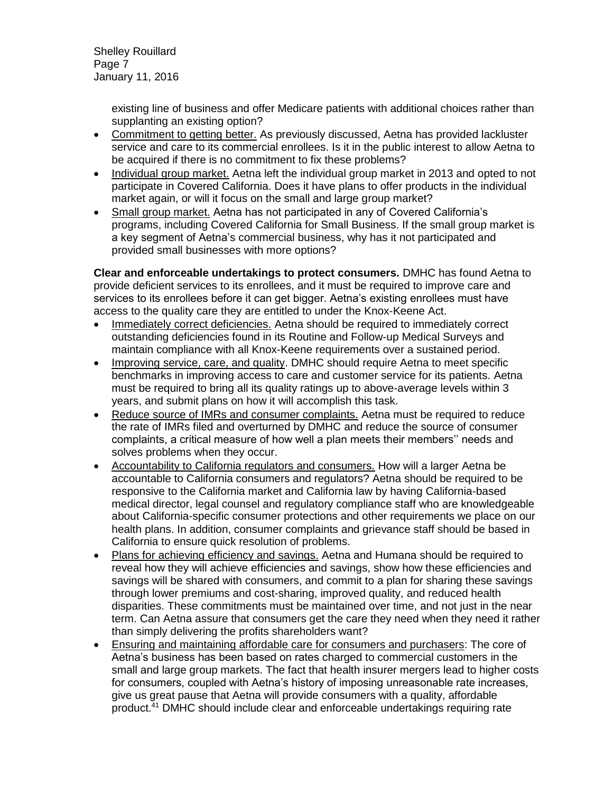Shelley Rouillard Page 7 January 11, 2016

> existing line of business and offer Medicare patients with additional choices rather than supplanting an existing option?

- Commitment to getting better. As previously discussed, Aetna has provided lackluster service and care to its commercial enrollees. Is it in the public interest to allow Aetna to be acquired if there is no commitment to fix these problems?
- Individual group market. Aetna left the individual group market in 2013 and opted to not participate in Covered California. Does it have plans to offer products in the individual market again, or will it focus on the small and large group market?
- Small group market. Aetna has not participated in any of Covered California's programs, including Covered California for Small Business. If the small group market is a key segment of Aetna's commercial business, why has it not participated and provided small businesses with more options?

**Clear and enforceable undertakings to protect consumers.** DMHC has found Aetna to provide deficient services to its enrollees, and it must be required to improve care and services to its enrollees before it can get bigger. Aetna's existing enrollees must have access to the quality care they are entitled to under the Knox-Keene Act.

- Immediately correct deficiencies. Aetna should be required to immediately correct outstanding deficiencies found in its Routine and Follow-up Medical Surveys and maintain compliance with all Knox-Keene requirements over a sustained period.
- Improving service, care, and quality. DMHC should require Aetna to meet specific benchmarks in improving access to care and customer service for its patients. Aetna must be required to bring all its quality ratings up to above-average levels within 3 years, and submit plans on how it will accomplish this task.
- Reduce source of IMRs and consumer complaints. Aetna must be required to reduce the rate of IMRs filed and overturned by DMHC and reduce the source of consumer complaints, a critical measure of how well a plan meets their members'' needs and solves problems when they occur.
- Accountability to California regulators and consumers. How will a larger Aetna be accountable to California consumers and regulators? Aetna should be required to be responsive to the California market and California law by having California-based medical director, legal counsel and regulatory compliance staff who are knowledgeable about California-specific consumer protections and other requirements we place on our health plans. In addition, consumer complaints and grievance staff should be based in California to ensure quick resolution of problems.
- Plans for achieving efficiency and savings. Aetna and Humana should be required to reveal how they will achieve efficiencies and savings, show how these efficiencies and savings will be shared with consumers, and commit to a plan for sharing these savings through lower premiums and cost-sharing, improved quality, and reduced health disparities. These commitments must be maintained over time, and not just in the near term. Can Aetna assure that consumers get the care they need when they need it rather than simply delivering the profits shareholders want?
- Ensuring and maintaining affordable care for consumers and purchasers: The core of Aetna's business has been based on rates charged to commercial customers in the small and large group markets. The fact that health insurer mergers lead to higher costs for consumers, coupled with Aetna's history of imposing unreasonable rate increases, give us great pause that Aetna will provide consumers with a quality, affordable product.<sup>41</sup> DMHC should include clear and enforceable undertakings requiring rate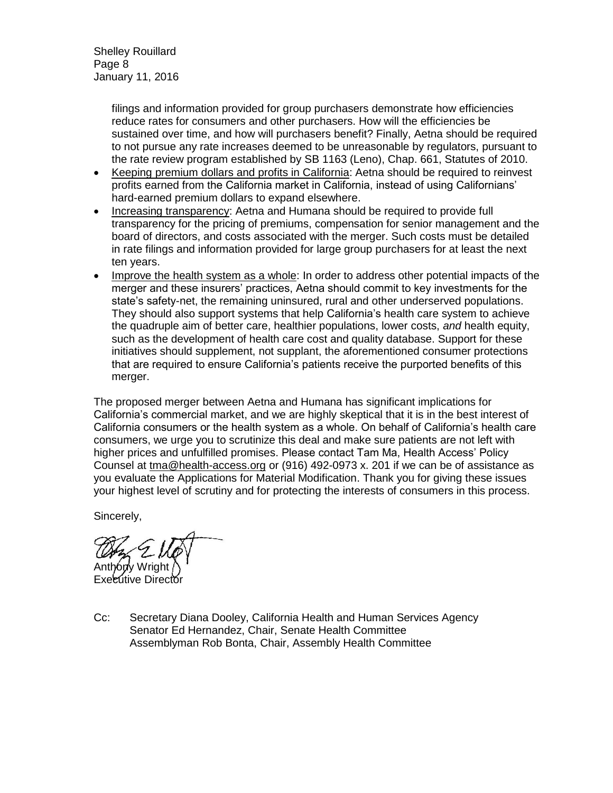Shelley Rouillard Page 8 January 11, 2016

> filings and information provided for group purchasers demonstrate how efficiencies reduce rates for consumers and other purchasers. How will the efficiencies be sustained over time, and how will purchasers benefit? Finally, Aetna should be required to not pursue any rate increases deemed to be unreasonable by regulators, pursuant to the rate review program established by SB 1163 (Leno), Chap. 661, Statutes of 2010.

- Keeping premium dollars and profits in California: Aetna should be required to reinvest profits earned from the California market in California, instead of using Californians' hard-earned premium dollars to expand elsewhere.
- Increasing transparency: Aetna and Humana should be required to provide full transparency for the pricing of premiums, compensation for senior management and the board of directors, and costs associated with the merger. Such costs must be detailed in rate filings and information provided for large group purchasers for at least the next ten years.
- Improve the health system as a whole: In order to address other potential impacts of the merger and these insurers' practices, Aetna should commit to key investments for the state's safety-net, the remaining uninsured, rural and other underserved populations. They should also support systems that help California's health care system to achieve the quadruple aim of better care, healthier populations, lower costs, *and* health equity, such as the development of health care cost and quality database. Support for these initiatives should supplement, not supplant, the aforementioned consumer protections that are required to ensure California's patients receive the purported benefits of this merger.

The proposed merger between Aetna and Humana has significant implications for California's commercial market, and we are highly skeptical that it is in the best interest of California consumers or the health system as a whole. On behalf of California's health care consumers, we urge you to scrutinize this deal and make sure patients are not left with higher prices and unfulfilled promises. Please contact Tam Ma, Health Access' Policy Counsel at [tma@health-access.org](mailto:tma@health-access.org) or (916) 492-0973 x. 201 if we can be of assistance as you evaluate the Applications for Material Modification. Thank you for giving these issues your highest level of scrutiny and for protecting the interests of consumers in this process.

Sincerely,

Anthony Wright

Executive Director

Cc: Secretary Diana Dooley, California Health and Human Services Agency Senator Ed Hernandez, Chair, Senate Health Committee Assemblyman Rob Bonta, Chair, Assembly Health Committee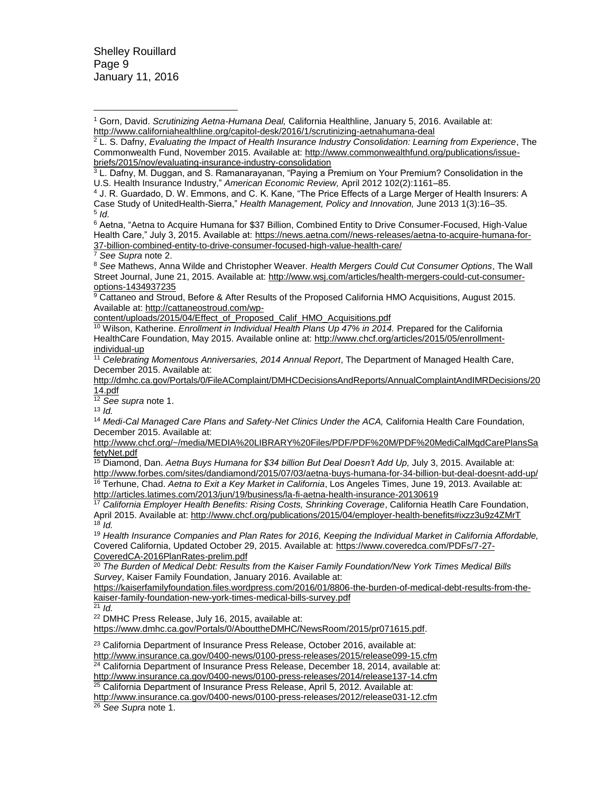Shelley Rouillard Page 9 January 11, 2016

<sup>1</sup> Gorn, David. *Scrutinizing Aetna-Humana Deal,* California Healthline, January 5, 2016. Available at: <http://www.californiahealthline.org/capitol-desk/2016/1/scrutinizing-aetnahumana-deal>  $\overline{a}$ 

<sup>2</sup> L. S. Dafny, *Evaluating the Impact of Health Insurance Industry Consolidation: Learning from Experience*, The Commonwealth Fund, November 2015. Available at[: http://www.commonwealthfund.org/publications/issue](http://www.commonwealthfund.org/publications/issue-briefs/2015/nov/evaluating-insurance-industry-consolidation)[briefs/2015/nov/evaluating-insurance-industry-consolidation](http://www.commonwealthfund.org/publications/issue-briefs/2015/nov/evaluating-insurance-industry-consolidation)

<sup>6</sup> Aetna, "Aetna to Acquire Humana for \$37 Billion, Combined Entity to Drive Consumer-Focused, High-Value Health Care," July 3, 2015. Available at: [https://news.aetna.com//news-releases/aetna-to-acquire-humana-for-](https://news.aetna.com/news-releases/aetna-to-acquire-humana-for-37-billion-combined-entity-to-drive-consumer-focused-high-value-health-care/)[37-billion-combined-entity-to-drive-consumer-focused-high-value-health-care/](https://news.aetna.com/news-releases/aetna-to-acquire-humana-for-37-billion-combined-entity-to-drive-consumer-focused-high-value-health-care/)

<sup>7</sup> *See Supra* note 2.

<sup>8</sup> *See* Mathews, Anna Wilde and Christopher Weaver. *Health Mergers Could Cut Consumer Options*, The Wall Street Journal, June 21, 2015. Available at: [http://www.wsj.com/articles/health-mergers-could-cut-consumer](http://www.wsj.com/articles/health-mergers-could-cut-consumer-options-1434937235)[options-1434937235](http://www.wsj.com/articles/health-mergers-could-cut-consumer-options-1434937235)

9 Cattaneo and Stroud, Before & After Results of the Proposed California HMO Acquisitions, August 2015. Available at: [http://cattaneostroud.com/wp-](http://cattaneostroud.com/wp-content/uploads/2015/04/Effect_of_Proposed_Calif_HMO_Acquisitions.pdf)

[content/uploads/2015/04/Effect\\_of\\_Proposed\\_Calif\\_HMO\\_Acquisitions.pdf](http://cattaneostroud.com/wp-content/uploads/2015/04/Effect_of_Proposed_Calif_HMO_Acquisitions.pdf)

<sup>10</sup> Wilson, Katherine. *Enrollment in Individual Health Plans Up 47% in 2014.* Prepared for the California HealthCare Foundation, May 2015. Available online at: [http://www.chcf.org/articles/2015/05/enrollment](http://www.chcf.org/articles/2015/05/enrollment-individual-up)[individual-up](http://www.chcf.org/articles/2015/05/enrollment-individual-up)

<sup>11</sup> *Celebrating Momentous Anniversaries, 2014 Annual Report*, The Department of Managed Health Care, December 2015. Available at:

[http://dmhc.ca.gov/Portals/0/FileAComplaint/DMHCDecisionsAndReports/AnnualComplaintAndIMRDecisions/20](http://dmhc.ca.gov/Portals/0/FileAComplaint/DMHCDecisionsAndReports/AnnualComplaintAndIMRDecisions/2014.pdf) [14.pdf](http://dmhc.ca.gov/Portals/0/FileAComplaint/DMHCDecisionsAndReports/AnnualComplaintAndIMRDecisions/2014.pdf)

<sup>12</sup> *See supra* note 1.

<sup>13</sup> *Id.*

<sup>14</sup> Medi-Cal Managed Care Plans and Safety-Net Clinics Under the ACA, California Health Care Foundation, December 2015. Available at:

[http://www.chcf.org/~/media/MEDIA%20LIBRARY%20Files/PDF/PDF%20M/PDF%20MediCalMgdCarePlansSa](http://www.chcf.org/~/media/MEDIA%20LIBRARY%20Files/PDF/PDF%20M/PDF%20MediCalMgdCarePlansSafetyNet.pdf) [fetyNet.pdf](http://www.chcf.org/~/media/MEDIA%20LIBRARY%20Files/PDF/PDF%20M/PDF%20MediCalMgdCarePlansSafetyNet.pdf)

<sup>15</sup> Diamond, Dan. *Aetna Buys Humana for \$34 billion But Deal Doesn't Add Up,* July 3, 2015. Available at: <http://www.forbes.com/sites/dandiamond/2015/07/03/aetna-buys-humana-for-34-billion-but-deal-doesnt-add-up/> <sup>16</sup> Terhune, Chad. *Aetna to Exit a Key Market in California*, Los Angeles Times, June 19, 2013. Available at:

<http://articles.latimes.com/2013/jun/19/business/la-fi-aetna-health-insurance-20130619>

<sup>17</sup> *California Employer Health Benefits: Rising Costs, Shrinking Coverage*, California Heatlh Care Foundation, April 2015. Available at[: http://www.chcf.org/publications/2015/04/employer-health-benefits#ixzz3u9z4ZMrT](http://www.chcf.org/publications/2015/04/employer-health-benefits#ixzz3u9z4ZMrT) <sup>18</sup> *Id.* 

<sup>19</sup> *Health Insurance Companies and Plan Rates for 2016, Keeping the Individual Market in California Affordable,*  Covered California, Updated October 29, 2015. Available at[: https://www.coveredca.com/PDFs/7-27-](https://www.coveredca.com/PDFs/7-27-CoveredCA-2016PlanRates-prelim.pdf) [CoveredCA-2016PlanRates-prelim.pdf](https://www.coveredca.com/PDFs/7-27-CoveredCA-2016PlanRates-prelim.pdf)

<sup>20</sup> *The Burden of Medical Debt: Results from the Kaiser Family Foundation/New York Times Medical Bills Survey*, Kaiser Family Foundation, January 2016. Available at:

[https://kaiserfamilyfoundation.files.wordpress.com/2016/01/8806-the-burden-of-medical-debt-results-from-the](https://kaiserfamilyfoundation.files.wordpress.com/2016/01/8806-the-burden-of-medical-debt-results-from-the-kaiser-family-foundation-new-york-times-medical-bills-survey.pdf)[kaiser-family-foundation-new-york-times-medical-bills-survey.pdf](https://kaiserfamilyfoundation.files.wordpress.com/2016/01/8806-the-burden-of-medical-debt-results-from-the-kaiser-family-foundation-new-york-times-medical-bills-survey.pdf)

 $\frac{21}{21}$  *Id.* 

<sup>22</sup> DMHC Press Release, July 16, 2015, available at:

[https://www.dmhc.ca.gov/Portals/0/AbouttheDMHC/NewsRoom/2015/pr071615.pdf.](https://www.dmhc.ca.gov/Portals/0/AbouttheDMHC/NewsRoom/2015/pr071615.pdf)

<sup>23</sup> California Department of Insurance Press Release, October 2016, available at: <http://www.insurance.ca.gov/0400-news/0100-press-releases/2015/release099-15.cfm>  $24$  California Department of Insurance Press Release, December 18, 2014, available at: <http://www.insurance.ca.gov/0400-news/0100-press-releases/2014/release137-14.cfm>  $25$  California Department of Insurance Press Release, April 5, 2012. Available at:

<http://www.insurance.ca.gov/0400-news/0100-press-releases/2012/release031-12.cfm> <sup>26</sup> *See Supra* note 1.

 $3$  L. Dafny, M. Duggan, and S. Ramanarayanan, "Paying a Premium on Your Premium? Consolidation in the U.S. Health Insurance Industry," *American Economic Review,* April 2012 102(2):1161–85.

<sup>4</sup> J. R. Guardado, D. W. Emmons, and C. K. Kane, "The Price Effects of a Large Merger of Health Insurers: A Case Study of UnitedHealth-Sierra," *Health Management, Policy and Innovation,* June 2013 1(3):16–35. 5 *Id.*